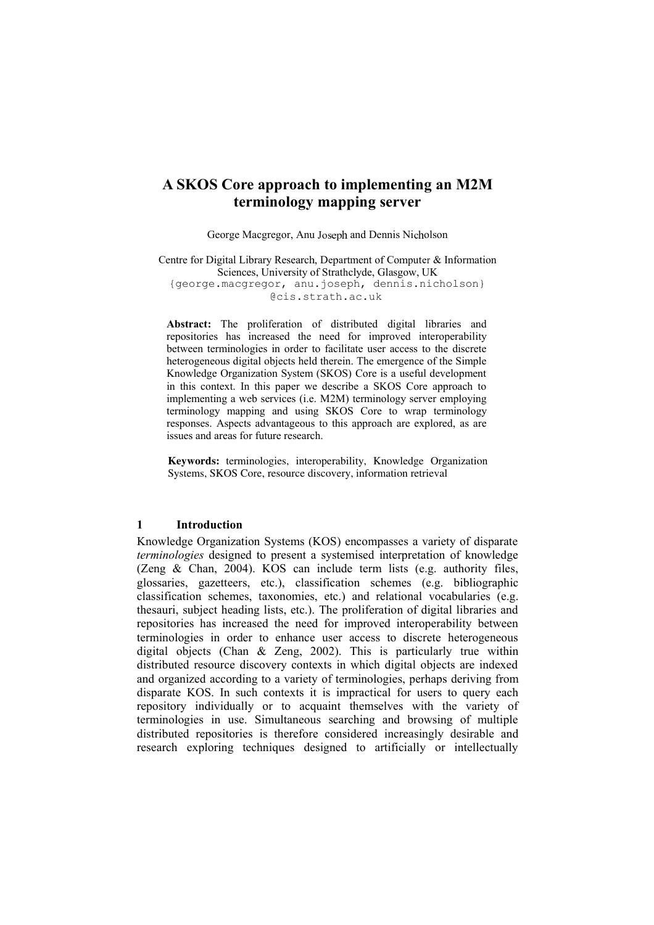# **A SKOS Core approach to implementing an M2M terminology mapping server**

George Macgregor, Anu Joseph and Dennis Nicholson

Centre for Digital Library Research, Department of Computer  $\&$  Information Sciences, University of Strathclyde, Glasgow, UK {george.macgregor, anu.joseph, dennis.nicholson} @cis.strath.ac.uk

**Abstract:** The proliferation of distributed digital libraries and repositories has increased the need for improved interoperability between terminologies in order to facilitate user access to the discrete heterogeneous digital objects held therein. The emergence of the Simple Knowledge Organization System (SKOS) Core is a useful development in this context. In this paper we describe a SKOS Core approach to implementing a web services (i.e. M2M) terminology server employing terminology mapping and using SKOS Core to wrap terminology responses. Aspects advantageous to this approach are explored, as are issues and areas for future research.

**Keywords:** terminologies, interoperability, Knowledge Organization Systems, SKOS Core, resource discovery, information retrieval

#### **1 Introduction**

Knowledge Organization Systems (KOS) encompasses a variety of disparate *terminologies* designed to present a systemised interpretation of knowledge (Zeng & Chan, 2004). KOS can include term lists (e.g. authority files, glossaries, gazetteers, etc.), classification schemes (e.g. bibliographic classification schemes, taxonomies, etc.) and relational vocabularies (e.g. thesauri, subject heading lists, etc.). The proliferation of digital libraries and repositories has increased the need for improved interoperability between terminologies in order to enhance user access to discrete heterogeneous digital objects (Chan & Zeng, 2002). This is particularly true within distributed resource discovery contexts in which digital objects are indexed and organized according to a variety of terminologies, perhaps deriving from disparate KOS. In such contexts it is impractical for users to query each repository individually or to acquaint themselves with the variety of terminologies in use. Simultaneous searching and browsing of multiple distributed repositories is therefore considered increasingly desirable and research exploring techniques designed to artificially or intellectually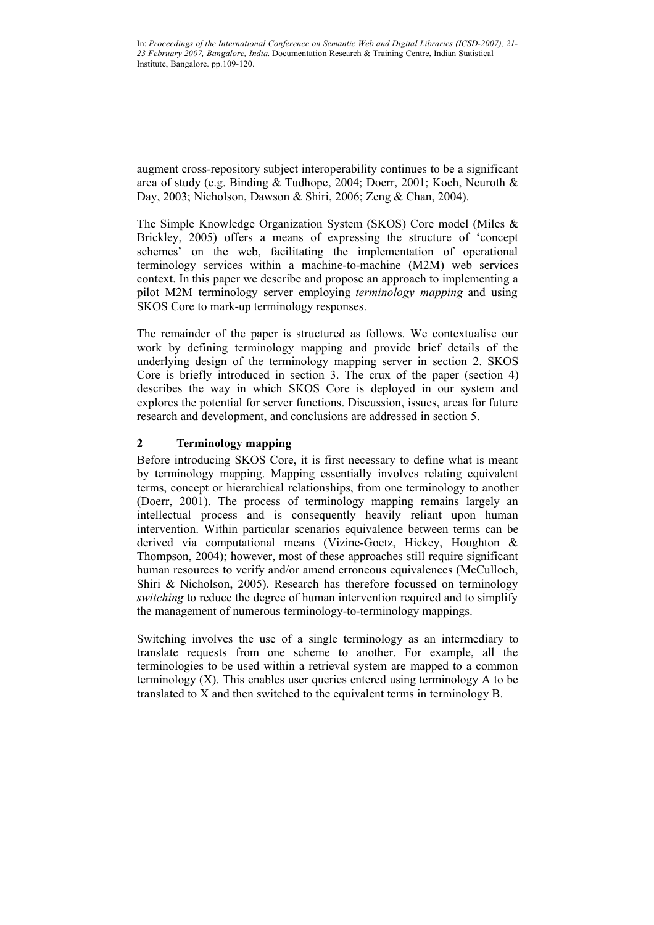augment cross-repository subject interoperability continues to be a significant area of study (e.g. Binding & Tudhope, 2004; Doerr, 2001; Koch, Neuroth & Day, 2003; Nicholson, Dawson & Shiri, 2006; Zeng & Chan, 2004).

The Simple Knowledge Organization System (SKOS) Core model (Miles & Brickley, 2005) offers a means of expressing the structure of 'concept schemes' on the web, facilitating the implementation of operational terminology services within a machine-to-machine (M2M) web services context. In this paper we describe and propose an approach to implementing a pilot M2M terminology server employing *terminology mapping* and using SKOS Core to mark-up terminology responses.

The remainder of the paper is structured as follows. We contextualise our work by defining terminology mapping and provide brief details of the underlying design of the terminology mapping server in section 2. SKOS Core is briefly introduced in section 3. The crux of the paper (section 4) describes the way in which SKOS Core is deployed in our system and explores the potential for server functions. Discussion, issues, areas for future research and development, and conclusions are addressed in section 5.

### **2 Terminology mapping**

Before introducing SKOS Core, it is first necessary to define what is meant by terminology mapping. Mapping essentially involves relating equivalent terms, concept or hierarchical relationships, from one terminology to another (Doerr, 2001). The process of terminology mapping remains largely an intellectual process and is consequently heavily reliant upon human intervention. Within particular scenarios equivalence between terms can be derived via computational means (Vizine-Goetz, Hickey, Houghton & Thompson, 2004); however, most of these approaches still require significant human resources to verify and/or amend erroneous equivalences (McCulloch, Shiri & Nicholson, 2005). Research has therefore focussed on terminology *switching* to reduce the degree of human intervention required and to simplify the management of numerous terminology-to-terminology mappings.

Switching involves the use of a single terminology as an intermediary to translate requests from one scheme to another. For example, all the terminologies to be used within a retrieval system are mapped to a common terminology (X). This enables user queries entered using terminology A to be translated to X and then switched to the equivalent terms in terminology B.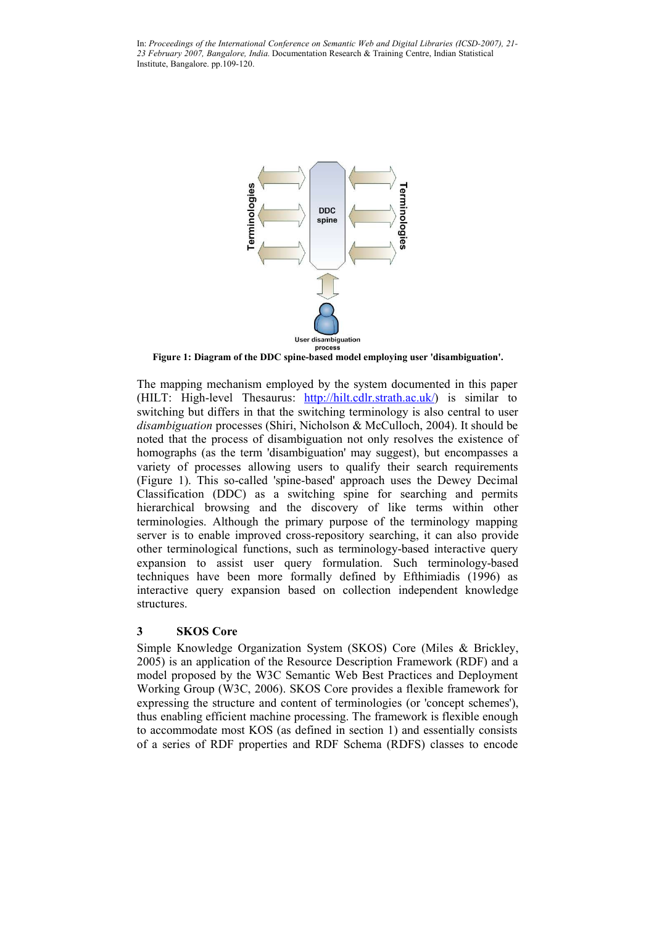

**Figure 1: Diagram of the DDC spine-based model employing user 'disambiguation'.**

The mapping mechanism employed by the system documented in this paper (HILT: High-level Thesaurus: http://hilt.cdlr.strath.ac.uk/) is similar to switching but differs in that the switching terminology is also central to user *disambiguation* processes (Shiri, Nicholson & McCulloch, 2004). It should be noted that the process of disambiguation not only resolves the existence of homographs (as the term 'disambiguation' may suggest), but encompasses a variety of processes allowing users to qualify their search requirements (Figure 1). This so-called 'spine-based' approach uses the Dewey Decimal Classification (DDC) as a switching spine for searching and permits hierarchical browsing and the discovery of like terms within other terminologies. Although the primary purpose of the terminology mapping server is to enable improved cross-repository searching, it can also provide other terminological functions, such as terminology-based interactive query expansion to assist user query formulation. Such terminology-based techniques have been more formally defined by Efthimiadis (1996) as interactive query expansion based on collection independent knowledge structures.

#### **3 SKOS Core**

Simple Knowledge Organization System (SKOS) Core (Miles & Brickley, 2005) is an application of the Resource Description Framework (RDF) and a model proposed by the W3C Semantic Web Best Practices and Deployment Working Group (W3C, 2006). SKOS Core provides a flexible framework for expressing the structure and content of terminologies (or 'concept schemes'), thus enabling efficient machine processing. The framework is flexible enough to accommodate most KOS (as defined in section 1) and essentially consists of a series of RDF properties and RDF Schema (RDFS) classes to encode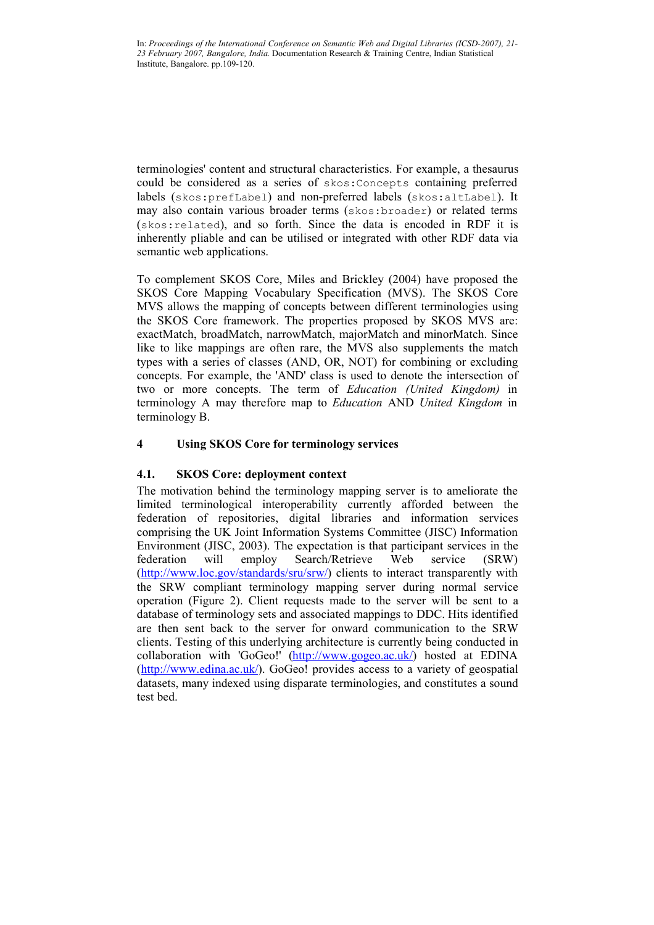terminologies' content and structural characteristics. For example, a thesaurus could be considered as a series of skos:Concepts containing preferred labels (skos:prefLabel) and non-preferred labels (skos:altLabel). It may also contain various broader terms (skos:broader) or related terms (skos:related), and so forth. Since the data is encoded in RDF it is inherently pliable and can be utilised or integrated with other RDF data via semantic web applications.

To complement SKOS Core, Miles and Brickley (2004) have proposed the SKOS Core Mapping Vocabulary Specification (MVS). The SKOS Core MVS allows the mapping of concepts between different terminologies using the SKOS Core framework. The properties proposed by SKOS MVS are: exactMatch, broadMatch, narrowMatch, majorMatch and minorMatch. Since like to like mappings are often rare, the MVS also supplements the match types with a series of classes (AND, OR, NOT) for combining or excluding concepts. For example, the 'AND' class is used to denote the intersection of two or more concepts. The term of *Education (United Kingdom)* in terminology A may therefore map to *Education* AND *United Kingdom* in terminology B.

## **4 Using SKOS Core for terminology services**

### **4.1. SKOS Core: deployment context**

The motivation behind the terminology mapping server is to ameliorate the limited terminological interoperability currently afforded between the federation of repositories, digital libraries and information services comprising the UK Joint Information Systems Committee (JISC) Information Environment (JISC, 2003). The expectation is that participant services in the federation will employ Search/Retrieve Web service (SRW) (http://www.loc.gov/standards/sru/srw/) clients to interact transparently with the SRW compliant terminology mapping server during normal service operation (Figure 2). Client requests made to the server will be sent to a database of terminology sets and associated mappings to DDC. Hits identified are then sent back to the server for onward communication to the SRW clients. Testing of this underlying architecture is currently being conducted in collaboration with 'GoGeo!' (http://www.gogeo.ac.uk/) hosted at EDINA  $(\text{http://www.edina.ac.uk/)}$ . GoGeo! provides access to a variety of geospatial datasets, many indexed using disparate terminologies, and constitutes a sound test bed.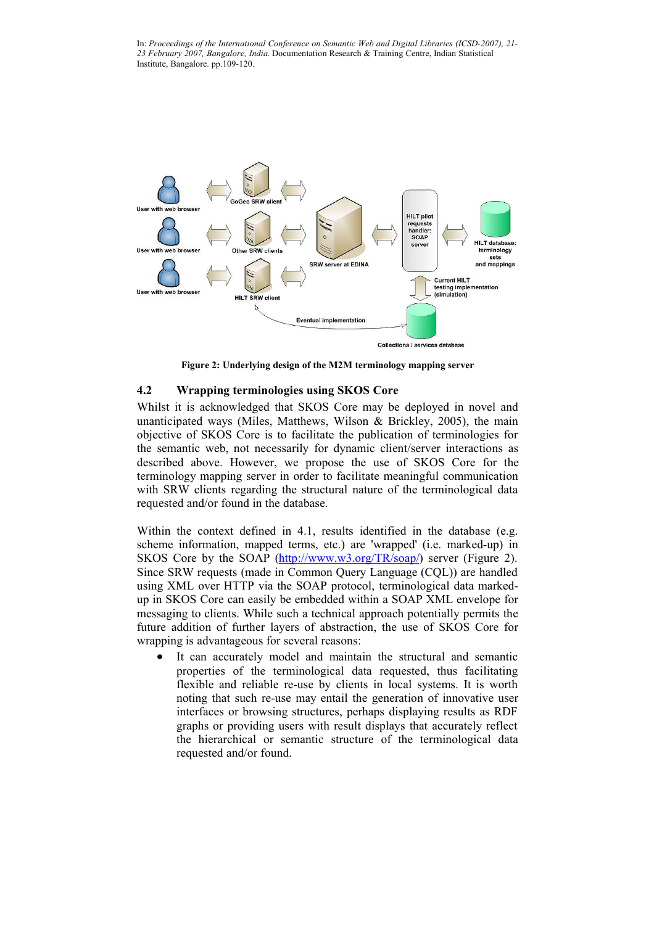

**Figure 2: Underlying design of the M2M terminology mapping server**

### **4.2 Wrapping terminologies using SKOS Core**

Whilst it is acknowledged that SKOS Core may be deployed in novel and unanticipated ways (Miles, Matthews, Wilson & Brickley, 2005), the main objective of SKOS Core is to facilitate the publication of terminologies for the semantic web, not necessarily for dynamic client/server interactions as described above. However, we propose the use of SKOS Core for the terminology mapping server in order to facilitate meaningful communication with SRW clients regarding the structural nature of the terminological data requested and/or found in the database.

Within the context defined in 4.1, results identified in the database (e.g. scheme information, mapped terms, etc.) are 'wrapped' (i.e. marked-up) in SKOS Core by the SOAP (http://www.w3.org/TR/soap/) server (Figure 2). Since SRW requests (made in Common Query Language (CQL)) are handled using XML over HTTP via the SOAP protocol, terminological data markedup in SKOS Core can easily be embedded within a SOAP XML envelope for messaging to clients. While such a technical approach potentially permits the future addition of further layers of abstraction, the use of SKOS Core for wrapping is advantageous for several reasons:

 It can accurately model and maintain the structural and semantic properties of the terminological data requested, thus facilitating flexible and reliable re-use by clients in local systems. It is worth noting that such re-use may entail the generation of innovative user interfaces or browsing structures, perhaps displaying results as RDF graphs or providing users with result displays that accurately reflect the hierarchical or semantic structure of the terminological data requested and/or found.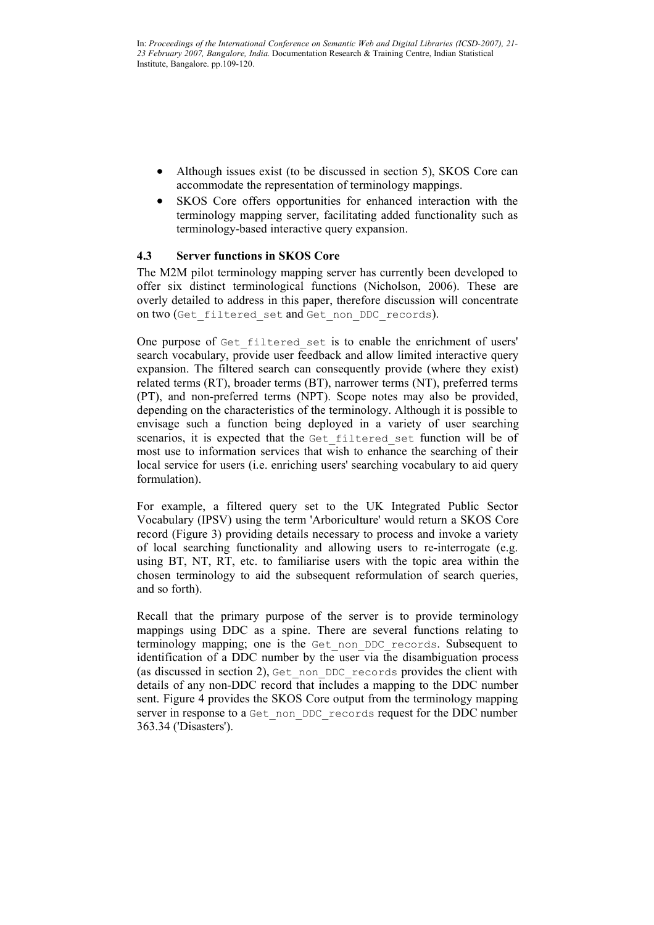- Although issues exist (to be discussed in section 5), SKOS Core can accommodate the representation of terminology mappings.
- SKOS Core offers opportunities for enhanced interaction with the terminology mapping server, facilitating added functionality such as terminology-based interactive query expansion.

### **4.3 Server functions in SKOS Core**

The M2M pilot terminology mapping server has currently been developed to offer six distinct terminological functions (Nicholson, 2006). These are overly detailed to address in this paper, therefore discussion will concentrate on two (Get filtered set and Get non DDC records).

One purpose of Get filtered set is to enable the enrichment of users' search vocabulary, provide user feedback and allow limited interactive query expansion. The filtered search can consequently provide (where they exist) related terms (RT), broader terms (BT), narrower terms (NT), preferred terms (PT), and non-preferred terms (NPT). Scope notes may also be provided, depending on the characteristics of the terminology. Although it is possible to envisage such a function being deployed in a variety of user searching scenarios, it is expected that the Get\_filtered\_set function will be of most use to information services that wish to enhance the searching of their local service for users (i.e. enriching users' searching vocabulary to aid query formulation).

For example, a filtered query set to the UK Integrated Public Sector Vocabulary (IPSV) using the term 'Arboriculture' would return a SKOS Core record (Figure 3) providing details necessary to process and invoke a variety of local searching functionality and allowing users to re-interrogate (e.g. using BT, NT, RT, etc. to familiarise users with the topic area within the chosen terminology to aid the subsequent reformulation of search queries, and so forth).

Recall that the primary purpose of the server is to provide terminology mappings using DDC as a spine. There are several functions relating to terminology mapping; one is the Get\_non\_DDC\_records. Subsequent to identification of a DDC number by the user via the disambiguation process (as discussed in section 2), Get\_non\_DDC\_records provides the client with details of any non-DDC record that includes a mapping to the DDC number sent. Figure 4 provides the SKOS Core output from the terminology mapping server in response to a Get\_non\_DDC\_records request for the DDC number 363.34 ('Disasters').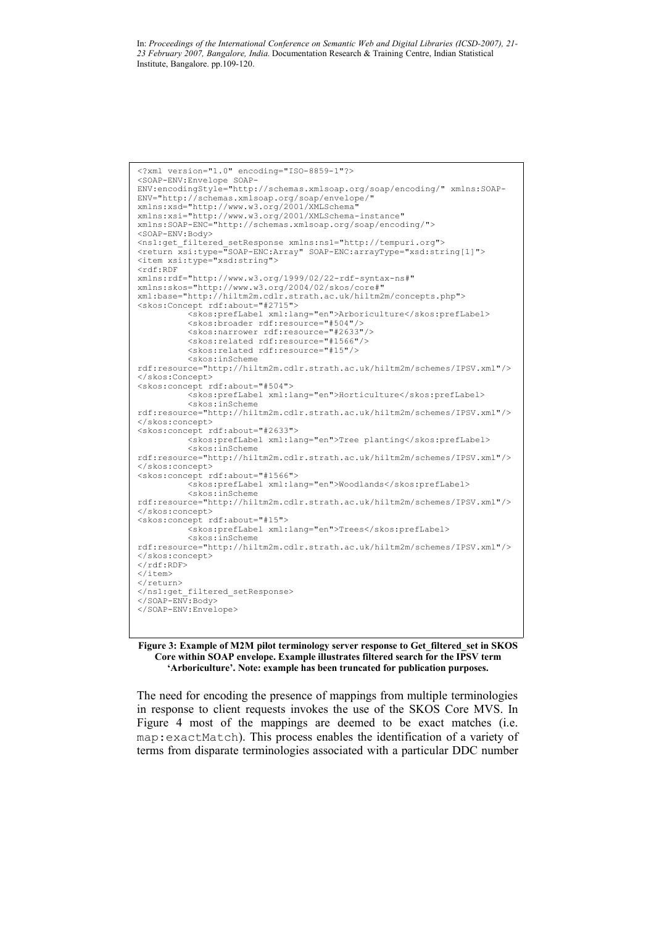```
<?xml version="1.0" encoding="ISO-8859-1"?>
<SOAP-ENV:Envelope SOAP-
ENV:encodingStyle="http://schemas.xmlsoap.org/soap/encoding/" xmlns:SOAP-
ENV="http://schemas.xmlsoap.org/soap/envelope/"
xmlns:xsd="http://www.w3.org/2001/XMLSchema"
xmlns:xsi="http://www.w3.org/2001/XMLSchema-instance" 
xmlns:SOAP-ENC="http://schemas.xmlsoap.org/soap/encoding/">
<SOAP-ENV:Body>
<ns1:get_filtered_setResponse xmlns:ns1="http://tempuri.org">
<return xsi:type="SOAP-ENC:Array" SOAP-ENC:arrayType="xsd:string[1]">
<item xsi:type="xsd:string">
<rdf:RDF 
xmlns:rdf="http://www.w3.org/1999/02/22-rdf-syntax-ns#"
xmlns:skos="http://www.w3.org/2004/02/skos/core#"
xml:base="http://hiltm2m.cdlr.strath.ac.uk/hiltm2m/concepts.php">
<skos:Concept rdf:about="#2715">
          <skos:prefLabel xml:lang="en">Arboriculture</skos:prefLabel>
          <skos:broader rdf:resource="#504"/>
          <skos:narrower rdf:resource="#2633"/>
          <skos:related rdf:resource="#1566"/>
          <skos:related rdf:resource="#15"/>
          <skos:inScheme
rdf:resource="http://hiltm2m.cdlr.strath.ac.uk/hiltm2m/schemes/IPSV.xml"/>
</skos:Concept>
<skos:concept rdf:about="#504">
          <skos:prefLabel xml:lang="en">Horticulture</skos:prefLabel>
          <skos:inScheme
rdf:resource="http://hiltm2m.cdlr.strath.ac.uk/hiltm2m/schemes/IPSV.xml"/>
</skos:concept>
<skos:concept rdf:about="#2633">
          <skos:prefLabel xml:lang="en">Tree planting</skos:prefLabel>
          <skos:inScheme
rdf:resource="http://hiltm2m.cdlr.strath.ac.uk/hiltm2m/schemes/IPSV.xml"/>
</skos:concept>
<skos:concept rdf:about="#1566">
          <skos:prefLabel xml:lang="en">Woodlands</skos:prefLabel>
          <skos:inScheme
rdf:resource="http://hiltm2m.cdlr.strath.ac.uk/hiltm2m/schemes/IPSV.xml"/>
</skos:concept>
<skos:concept rdf:about="#15">
          <skos:prefLabel xml:lang="en">Trees</skos:prefLabel>
          <skos:inScheme
rdf:resource="http://hiltm2m.cdlr.strath.ac.uk/hiltm2m/schemes/IPSV.xml"/>
</skos:concept>
\langle/rdf:RDF>
</item>
</return>
</ns1:get_filtered_setResponse>
\lt/SOAP-EN\bar{v}:Body>
</SOAP-ENV:Envelope>
```
**Figure 3: Example of M2M pilot terminology server response to Get\_filtered\_set in SKOS Core within SOAP envelope. Example illustrates filtered search for the IPSV term 'Arboriculture'. Note: example has been truncated for publication purposes.**

The need for encoding the presence of mappings from multiple terminologies in response to client requests invokes the use of the SKOS Core MVS. In Figure 4 most of the mappings are deemed to be exact matches (i.e. map:exactMatch). This process enables the identification of a variety of terms from disparate terminologies associated with a particular DDC number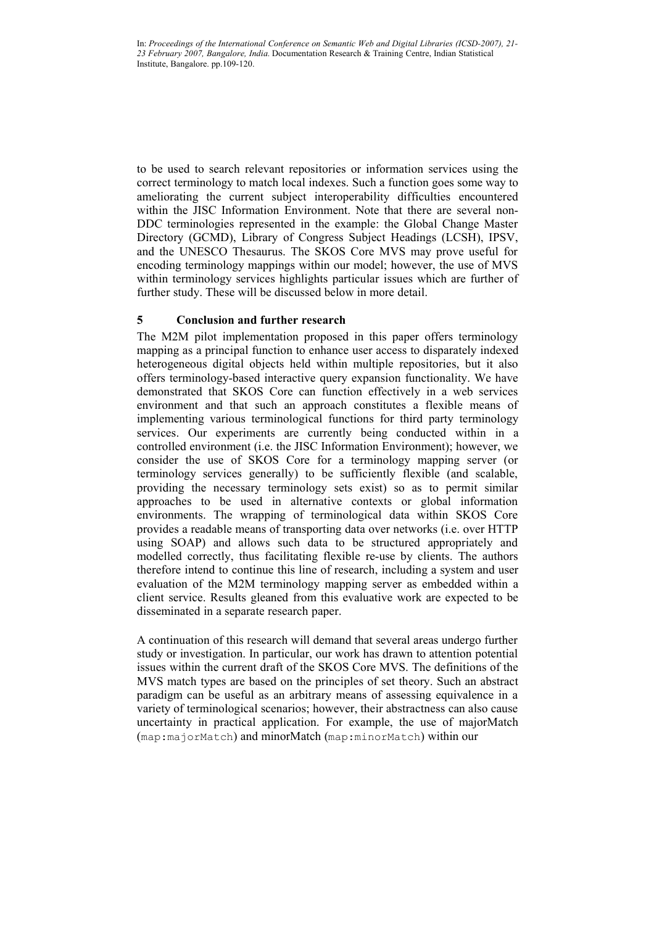to be used to search relevant repositories or information services using the correct terminology to match local indexes. Such a function goes some way to ameliorating the current subject interoperability difficulties encountered within the JISC Information Environment. Note that there are several non-DDC terminologies represented in the example: the Global Change Master Directory (GCMD), Library of Congress Subject Headings (LCSH), IPSV, and the UNESCO Thesaurus. The SKOS Core MVS may prove useful for encoding terminology mappings within our model; however, the use of MVS within terminology services highlights particular issues which are further of further study. These will be discussed below in more detail.

### **5 Conclusion and further research**

The M2M pilot implementation proposed in this paper offers terminology mapping as a principal function to enhance user access to disparately indexed heterogeneous digital objects held within multiple repositories, but it also offers terminology-based interactive query expansion functionality. We have demonstrated that SKOS Core can function effectively in a web services environment and that such an approach constitutes a flexible means of implementing various terminological functions for third party terminology services. Our experiments are currently being conducted within in a controlled environment (i.e. the JISC Information Environment); however, we consider the use of SKOS Core for a terminology mapping server (or terminology services generally) to be sufficiently flexible (and scalable, providing the necessary terminology sets exist) so as to permit similar approaches to be used in alternative contexts or global information environments. The wrapping of terminological data within SKOS Core provides a readable means of transporting data over networks (i.e. over HTTP using SOAP) and allows such data to be structured appropriately and modelled correctly, thus facilitating flexible re-use by clients. The authors therefore intend to continue this line of research, including a system and user evaluation of the M2M terminology mapping server as embedded within a client service. Results gleaned from this evaluative work are expected to be disseminated in a separate research paper.

A continuation of this research will demand that several areas undergo further study or investigation. In particular, our work has drawn to attention potential issues within the current draft of the SKOS Core MVS. The definitions of the MVS match types are based on the principles of set theory. Such an abstract paradigm can be useful as an arbitrary means of assessing equivalence in a variety of terminological scenarios; however, their abstractness can also cause uncertainty in practical application. For example, the use of majorMatch (map:majorMatch) and minorMatch (map:minorMatch) within our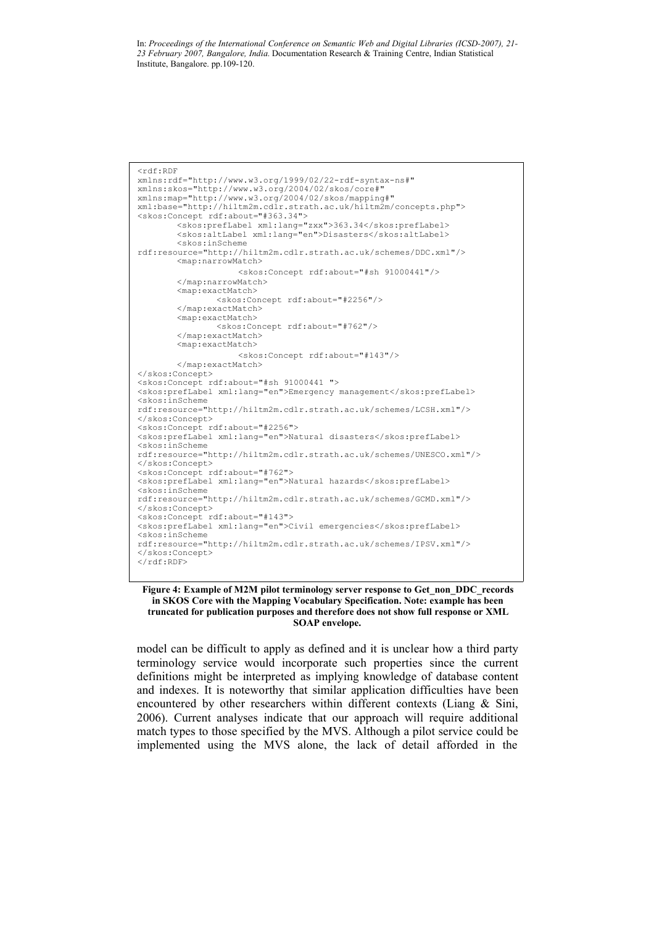```
<rdf:RDF 
xmlns:rdf="http://www.w3.org/1999/02/22-rdf-syntax-ns#"
xmlns:skos="http://www.w3.org/2004/02/skos/core#"
xmlns:map="http://www.w3.org/2004/02/skos/mapping#"
xml:base="http://hiltm2m.cdlr.strath.ac.uk/hiltm2m/concepts.php">
<skos:Concept rdf:about="#363.34">
        <skos:prefLabel xml:lang="zxx">363.34</skos:prefLabel>
        <skos:altLabel xml:lang="en">Disasters</skos:altLabel>
        <skos:inScheme
rdf:resource="http://hiltm2m.cdlr.strath.ac.uk/schemes/DDC.xml"/>
       <map:narrowMatch>
                    <skos:Concept rdf:about="#sh 91000441"/>
        </map:narrowMatch>
       <map:exactMatch>
                <skos:Concept rdf:about="#2256"/>
        </map:exactMatch>
        <map:exactMatch>
                <skos:Concept rdf:about="#762"/>
        </map:exactMatch>
        <map:exactMatch>
                    <skos:Concept rdf:about="#143"/>
       </map:exactMatch>
</skos:Concept>
<skos:Concept rdf:about="#sh 91000441 ">
<skos:prefLabel xml:lang="en">Emergency management</skos:prefLabel>
<skos:inScheme
rdf:resource="http://hiltm2m.cdlr.strath.ac.uk/schemes/LCSH.xml"/>
</skos:Concept>
<skos:Concept rdf:about="#2256">
<skos:prefLabel xml:lang="en">Natural disasters</skos:prefLabel>
<skos:inScheme
rdf:resource="http://hiltm2m.cdlr.strath.ac.uk/schemes/UNESCO.xml"/>
</skos:Concept>
<skos:Concept rdf:about="#762">
<skos:prefLabel xml:lang="en">Natural hazards</skos:prefLabel>
<skos:inScheme
rdf:resource="http://hiltm2m.cdlr.strath.ac.uk/schemes/GCMD.xml"/>
</skos:Concept>
<skos:Concept rdf:about="#143">
<skos:prefLabel xml:lang="en">Civil emergencies</skos:prefLabel>
<skos:inScheme
rdf:resource="http://hiltm2m.cdlr.strath.ac.uk/schemes/IPSV.xml"/>
</skos:Concept>
\langle/\text{rdf:RDF}\rangle
```


model can be difficult to apply as defined and it is unclear how a third party terminology service would incorporate such properties since the current definitions might be interpreted as implying knowledge of database content and indexes. It is noteworthy that similar application difficulties have been encountered by other researchers within different contexts (Liang & Sini, 2006). Current analyses indicate that our approach will require additional match types to those specified by the MVS. Although a pilot service could be implemented using the MVS alone, the lack of detail afforded in the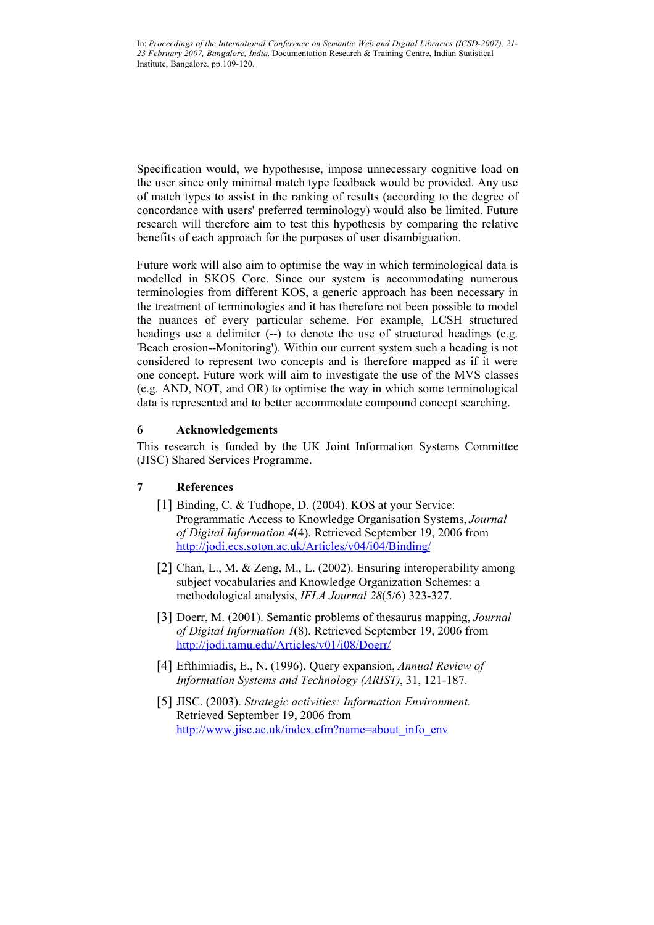Specification would, we hypothesise, impose unnecessary cognitive load on the user since only minimal match type feedback would be provided. Any use of match types to assist in the ranking of results (according to the degree of concordance with users' preferred terminology) would also be limited. Future research will therefore aim to test this hypothesis by comparing the relative benefits of each approach for the purposes of user disambiguation.

Future work will also aim to optimise the way in which terminological data is modelled in SKOS Core. Since our system is accommodating numerous terminologies from different KOS, a generic approach has been necessary in the treatment of terminologies and it has therefore not been possible to model the nuances of every particular scheme. For example, LCSH structured headings use a delimiter (--) to denote the use of structured headings (e.g. 'Beach erosion--Monitoring'). Within our current system such a heading is not considered to represent two concepts and is therefore mapped as if it were one concept. Future work will aim to investigate the use of the MVS classes (e.g. AND, NOT, and OR) to optimise the way in which some terminological data is represented and to better accommodate compound concept searching.

### **6 Acknowledgements**

This research is funded by the UK Joint Information Systems Committee (JISC) Shared Services Programme.

### **7 References**

- [1] Binding, C. & Tudhope, D. (2004). KOS at your Service: Programmatic Access to Knowledge Organisation Systems, *Journal of Digital Information 4*(4). Retrieved September 19, 2006 from http://jodi.ecs.soton.ac.uk/Articles/v04/i04/Binding/
- [2] Chan, L., M. & Zeng, M., L. (2002). Ensuring interoperability among subject vocabularies and Knowledge Organization Schemes: a methodological analysis, *IFLA Journal 28*(5/6) 323-327.
- [3] Doerr, M. (2001). Semantic problems of thesaurus mapping, *Journal of Digital Information 1*(8). Retrieved September 19, 2006 from http://jodi.tamu.edu/Articles/v01/i08/Doerr/
- [4] Efthimiadis, E., N. (1996). Query expansion, *Annual Review of Information Systems and Technology (ARIST)*, 31, 121-187.
- [5] JISC. (2003). *Strategic activities: Information Environment.* Retrieved September 19, 2006 from http://www.jisc.ac.uk/index.cfm?name=about\_info\_env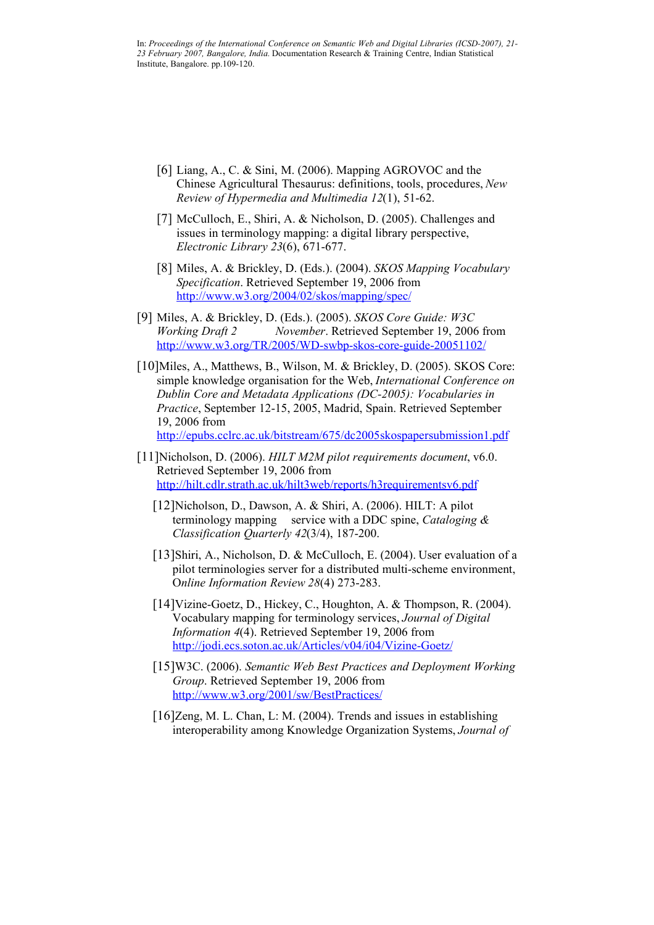- [6] Liang, A., C. & Sini, M. (2006). Mapping AGROVOC and the Chinese Agricultural Thesaurus: definitions, tools, procedures, *New Review of Hypermedia and Multimedia 12*(1), 51-62.
- [7] McCulloch, E., Shiri, A. & Nicholson, D. (2005). Challenges and issues in terminology mapping: a digital library perspective, *Electronic Library 23*(6), 671-677.
- [8] Miles, A. & Brickley, D. (Eds.). (2004). *SKOS Mapping Vocabulary Specification*. Retrieved September 19, 2006 from http://www.w3.org/2004/02/skos/mapping/spec/
- [9] Miles, A. & Brickley, D. (Eds.). (2005). *SKOS Core Guide: W3C Working Draft 2 November*. Retrieved September 19, 2006 from http://www.w3.org/TR/2005/WD-swbp-skos-core-guide-20051102/
- [10]Miles, A., Matthews, B., Wilson, M. & Brickley, D. (2005). SKOS Core: simple knowledge organisation for the Web, *International Conference on Dublin Core and Metadata Applications (DC-2005): Vocabularies in Practice*, September 12-15, 2005, Madrid, Spain. Retrieved September 19, 2006 from

http://epubs.cclrc.ac.uk/bitstream/675/dc2005skospapersubmission1.pdf

- [11]Nicholson, D. (2006). *HILT M2M pilot requirements document*, v6.0. Retrieved September 19, 2006 from http://hilt.cdlr.strath.ac.uk/hilt3web/reports/h3requirementsv6.pdf
	- [12]Nicholson, D., Dawson, A. & Shiri, A. (2006). HILT: A pilot terminology mapping service with a DDC spine, *Cataloging & Classification Quarterly 42*(3/4), 187-200.
	- [13]Shiri, A., Nicholson, D. & McCulloch, E. (2004). User evaluation of a pilot terminologies server for a distributed multi-scheme environment, O*nline Information Review 28*(4) 273-283.
	- [14]Vizine-Goetz, D., Hickey, C., Houghton, A. & Thompson, R. (2004). Vocabulary mapping for terminology services, *Journal of Digital Information 4*(4). Retrieved September 19, 2006 from http://jodi.ecs.soton.ac.uk/Articles/v04/i04/Vizine-Goetz/
	- [15]W3C. (2006). *Semantic Web Best Practices and Deployment Working Group*. Retrieved September 19, 2006 from http://www.w3.org/2001/sw/BestPractices/
	- [16]Zeng, M. L. Chan, L: M. (2004). Trends and issues in establishing interoperability among Knowledge Organization Systems, *Journal of*